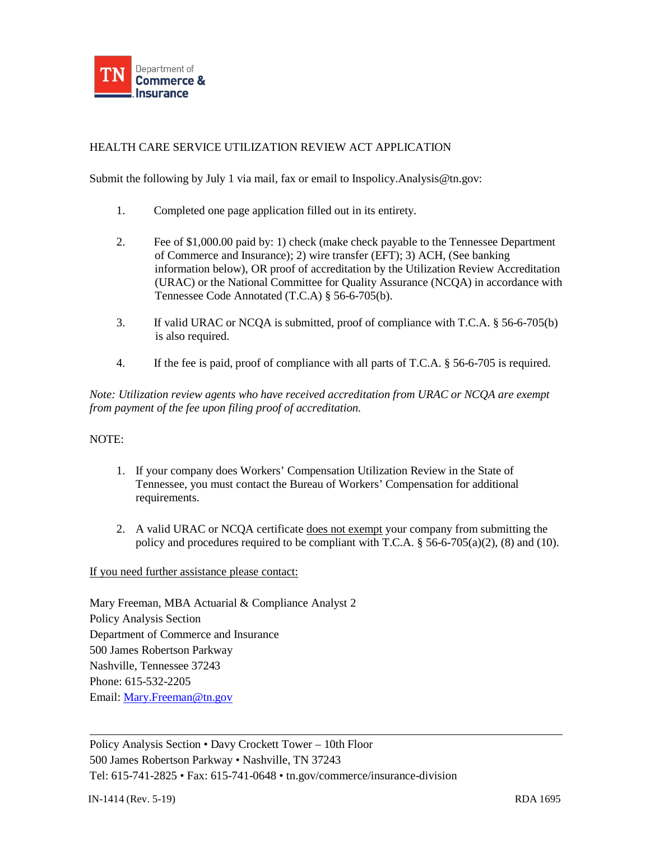

## HEALTH CARE SERVICE UTILIZATION REVIEW ACT APPLICATION

Submit the following by July 1 via mail, fax or email to Inspolicy. Analysis @tn.gov:

- 1. Completed one page application filled out in its entirety.
- 2. Fee of \$1,000.00 paid by: 1) check (make check payable to the Tennessee Department of Commerce and Insurance); 2) wire transfer (EFT); 3) ACH, (See banking information below), OR proof of accreditation by the Utilization Review Accreditation (URAC) or the National Committee for Quality Assurance (NCQA) in accordance with Tennessee Code Annotated (T.C.A) § 56-6-705(b).
- 3. If valid URAC or NCQA is submitted, proof of compliance with T.C.A. § 56-6-705(b) is also required.
- 4. If the fee is paid, proof of compliance with all parts of T.C.A. § 56-6-705 is required.

*Note: Utilization review agents who have received accreditation from URAC or NCQA are exempt from payment of the fee upon filing proof of accreditation.*

#### NOTE:

- 1. If your company does Workers' Compensation Utilization Review in the State of Tennessee, you must contact the Bureau of Workers' Compensation for additional requirements.
- 2. A valid URAC or NCQA certificate does not exempt your company from submitting the policy and procedures required to be compliant with T.C.A.  $\S$  56-6-705(a)(2), (8) and (10).

If you need further assistance please contact:

Mary Freeman, MBA Actuarial & Compliance Analyst 2 Policy Analysis Section Department of Commerce and Insurance 500 James Robertson Parkway Nashville, Tennessee 37243 Phone: 615-532-2205 Email: [Mary.Freeman@tn.gov](mailto:Mary.Freeman@tn.gov)

Policy Analysis Section • Davy Crockett Tower – 10th Floor 500 James Robertson Parkway • Nashville, TN 37243 Tel: 615-741-2825 • Fax: 615-741-0648 • tn.gov/commerce/insurance-division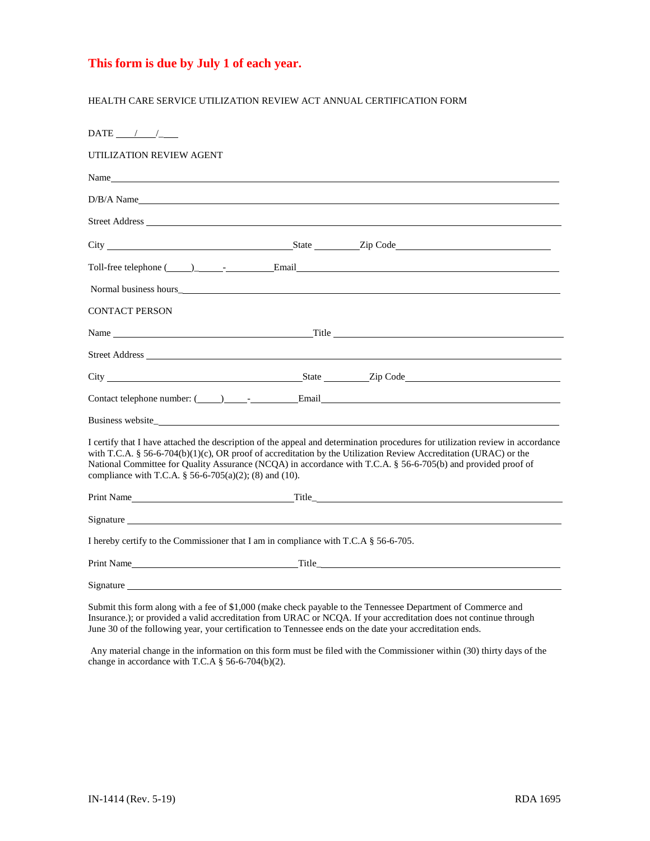## **This form is due by July 1 of each year.**

#### HEALTH CARE SERVICE UTILIZATION REVIEW ACT ANNUAL CERTIFICATION FORM

| DATE $/$ /                                                                                                                                                                                                                    |                                                                                                                                                                                                                                                                                                                                                                     |
|-------------------------------------------------------------------------------------------------------------------------------------------------------------------------------------------------------------------------------|---------------------------------------------------------------------------------------------------------------------------------------------------------------------------------------------------------------------------------------------------------------------------------------------------------------------------------------------------------------------|
| UTILIZATION REVIEW AGENT                                                                                                                                                                                                      |                                                                                                                                                                                                                                                                                                                                                                     |
| Name                                                                                                                                                                                                                          |                                                                                                                                                                                                                                                                                                                                                                     |
| D/B/A Name                                                                                                                                                                                                                    |                                                                                                                                                                                                                                                                                                                                                                     |
|                                                                                                                                                                                                                               |                                                                                                                                                                                                                                                                                                                                                                     |
|                                                                                                                                                                                                                               |                                                                                                                                                                                                                                                                                                                                                                     |
|                                                                                                                                                                                                                               |                                                                                                                                                                                                                                                                                                                                                                     |
|                                                                                                                                                                                                                               |                                                                                                                                                                                                                                                                                                                                                                     |
| <b>CONTACT PERSON</b>                                                                                                                                                                                                         |                                                                                                                                                                                                                                                                                                                                                                     |
|                                                                                                                                                                                                                               |                                                                                                                                                                                                                                                                                                                                                                     |
|                                                                                                                                                                                                                               |                                                                                                                                                                                                                                                                                                                                                                     |
|                                                                                                                                                                                                                               |                                                                                                                                                                                                                                                                                                                                                                     |
|                                                                                                                                                                                                                               |                                                                                                                                                                                                                                                                                                                                                                     |
|                                                                                                                                                                                                                               |                                                                                                                                                                                                                                                                                                                                                                     |
| compliance with T.C.A. § 56-6-705(a)(2); (8) and (10).                                                                                                                                                                        | I certify that I have attached the description of the appeal and determination procedures for utilization review in accordance<br>with T.C.A. § 56-6-704(b)(1)(c), OR proof of accreditation by the Utilization Review Accreditation (URAC) or the<br>National Committee for Quality Assurance (NCQA) in accordance with T.C.A. § 56-6-705(b) and provided proof of |
|                                                                                                                                                                                                                               | Print Name Title Title                                                                                                                                                                                                                                                                                                                                              |
|                                                                                                                                                                                                                               |                                                                                                                                                                                                                                                                                                                                                                     |
| I hereby certify to the Commissioner that I am in compliance with T.C.A § 56-6-705.                                                                                                                                           |                                                                                                                                                                                                                                                                                                                                                                     |
|                                                                                                                                                                                                                               |                                                                                                                                                                                                                                                                                                                                                                     |
| Signature Signature and the set of the set of the set of the set of the set of the set of the set of the set of the set of the set of the set of the set of the set of the set of the set of the set of the set of the set of |                                                                                                                                                                                                                                                                                                                                                                     |
|                                                                                                                                                                                                                               | Submit this form along with a fee of \$1,000 (make check payable to the Tennessee Department of Commerce and                                                                                                                                                                                                                                                        |

Insurance.); or provided a valid accreditation from URAC or NCQA. If your accreditation does not continue through June 30 of the following year, your certification to Tennessee ends on the date your accreditation ends.

Any material change in the information on this form must be filed with the Commissioner within (30) thirty days of the change in accordance with T.C.A § 56-6-704(b)(2).